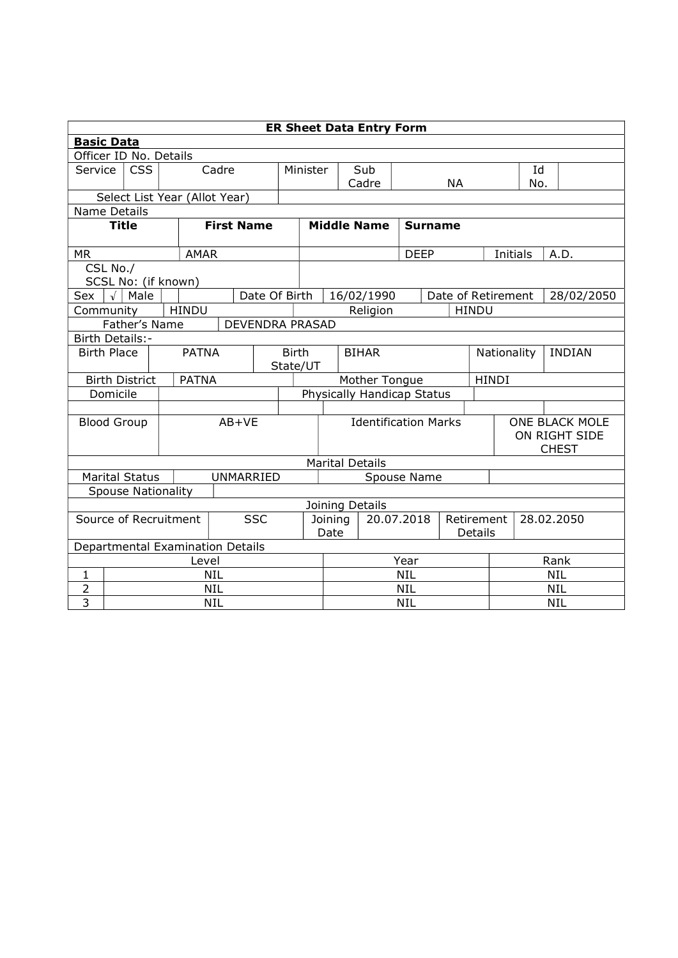|                                                          | <b>ER Sheet Data Entry Form</b>                                |                       |  |              |              |                        |                       |                             |                            |                          |                |               |           |              |                    |                       |            |  |
|----------------------------------------------------------|----------------------------------------------------------------|-----------------------|--|--------------|--------------|------------------------|-----------------------|-----------------------------|----------------------------|--------------------------|----------------|---------------|-----------|--------------|--------------------|-----------------------|------------|--|
|                                                          | <b>Basic Data</b>                                              |                       |  |              |              |                        |                       |                             |                            |                          |                |               |           |              |                    |                       |            |  |
| Officer ID No. Details                                   |                                                                |                       |  |              |              |                        |                       |                             |                            |                          |                |               |           |              |                    |                       |            |  |
|                                                          | <b>CSS</b><br>Service                                          |                       |  | Cadre        |              |                        | Minister              |                             | Sub                        |                          |                |               |           |              | Id                 |                       |            |  |
|                                                          |                                                                |                       |  |              |              |                        |                       |                             | Cadre                      |                          |                |               | <b>NA</b> |              | No.                |                       |            |  |
| Select List Year (Allot Year)                            |                                                                |                       |  |              |              |                        |                       |                             |                            |                          |                |               |           |              |                    |                       |            |  |
| <b>Name Details</b><br><b>First Name</b><br><b>Title</b> |                                                                |                       |  |              |              |                        |                       |                             |                            |                          |                |               |           |              |                    |                       |            |  |
|                                                          |                                                                |                       |  |              |              |                        | <b>Middle Name</b>    |                             |                            |                          | <b>Surname</b> |               |           |              |                    |                       |            |  |
| <b>MR</b>                                                |                                                                |                       |  | <b>AMAR</b>  |              |                        |                       |                             |                            |                          | <b>DEEP</b>    |               |           |              | Initials           |                       | A.D.       |  |
|                                                          | CSL No./                                                       |                       |  |              |              |                        |                       |                             |                            |                          |                |               |           |              |                    |                       |            |  |
|                                                          |                                                                | SCSL No: (if known)   |  |              |              |                        |                       |                             |                            |                          |                |               |           |              |                    |                       |            |  |
| Sex                                                      | $\sqrt{ }$                                                     | Male                  |  |              |              | Date Of Birth          |                       |                             | 16/02/1990                 |                          |                |               |           |              | Date of Retirement |                       | 28/02/2050 |  |
| Community                                                |                                                                |                       |  | <b>HINDU</b> |              |                        |                       |                             | Religion                   |                          |                |               |           | <b>HINDU</b> |                    |                       |            |  |
|                                                          |                                                                | Father's Name         |  |              |              | <b>DEVENDRA PRASAD</b> |                       |                             |                            |                          |                |               |           |              |                    |                       |            |  |
| Birth Details:-                                          |                                                                |                       |  |              |              |                        |                       |                             |                            |                          |                |               |           |              |                    |                       |            |  |
|                                                          | <b>PATNA</b><br><b>Birth Place</b><br><b>Birth</b><br>State/UT |                       |  |              | <b>BIHAR</b> |                        |                       |                             | Nationality                |                          |                | <b>INDIAN</b> |           |              |                    |                       |            |  |
|                                                          |                                                                | <b>Birth District</b> |  | <b>PATNA</b> |              |                        |                       |                             | Mother Tongue              |                          |                |               |           | <b>HINDI</b> |                    |                       |            |  |
|                                                          | Domicile                                                       |                       |  |              |              |                        |                       |                             | Physically Handicap Status |                          |                |               |           |              |                    |                       |            |  |
|                                                          |                                                                |                       |  |              |              |                        |                       |                             |                            |                          |                |               |           |              |                    |                       |            |  |
| <b>Blood Group</b>                                       |                                                                |                       |  | $AB+VE$      |              |                        |                       | <b>Identification Marks</b> |                            |                          |                |               |           |              |                    | <b>ONE BLACK MOLE</b> |            |  |
|                                                          |                                                                |                       |  |              |              |                        |                       |                             |                            |                          |                |               |           |              | ON RIGHT SIDE      |                       |            |  |
|                                                          |                                                                |                       |  |              |              |                        |                       |                             |                            |                          |                |               |           | <b>CHEST</b> |                    |                       |            |  |
|                                                          | <b>Marital Details</b>                                         |                       |  |              |              |                        |                       |                             |                            |                          |                |               |           |              |                    |                       |            |  |
|                                                          |                                                                | <b>Marital Status</b> |  |              | UNMARRIED    |                        | Spouse Name           |                             |                            |                          |                |               |           |              |                    |                       |            |  |
| <b>Spouse Nationality</b>                                |                                                                |                       |  |              |              |                        |                       |                             |                            |                          |                |               |           |              |                    |                       |            |  |
|                                                          | Joining Details                                                |                       |  |              |              |                        |                       |                             |                            |                          |                |               |           |              |                    |                       |            |  |
| Source of Recruitment                                    |                                                                |                       |  | <b>SSC</b>   |              |                        | 20.07.2018<br>Joining |                             |                            | Retirement<br>28.02.2050 |                |               |           |              |                    |                       |            |  |
|                                                          | Date<br>Details<br>Departmental Examination Details            |                       |  |              |              |                        |                       |                             |                            |                          |                |               |           |              |                    |                       |            |  |
| Rank<br>Year<br>Level                                    |                                                                |                       |  |              |              |                        |                       |                             |                            |                          |                |               |           |              |                    |                       |            |  |
| $\mathbf{1}$                                             |                                                                |                       |  | <b>NIL</b>   |              |                        | <b>NIL</b>            |                             |                            |                          |                | <b>NIL</b>    |           |              |                    |                       |            |  |
| $\overline{2}$                                           | <b>NIL</b>                                                     |                       |  |              |              |                        | <b>NIL</b>            |                             |                            |                          |                | <b>NIL</b>    |           |              |                    |                       |            |  |
| $\overline{3}$                                           | <b>NIL</b>                                                     |                       |  |              | <b>NIL</b>   |                        |                       |                             |                            | <b>NIL</b>               |                |               |           |              |                    |                       |            |  |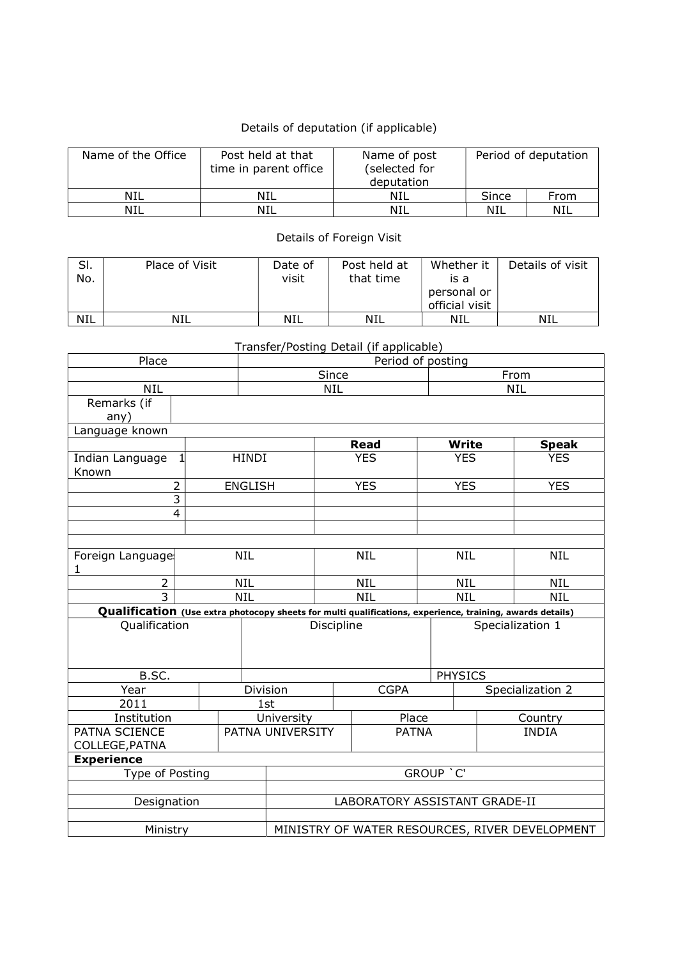## Details of deputation (if applicable)

| Name of the Office | Post held at that<br>time in parent office | Name of post<br>(selected for<br>deputation |       | Period of deputation |
|--------------------|--------------------------------------------|---------------------------------------------|-------|----------------------|
| NIL                | NIL                                        | NIL                                         | Since | From                 |
| NIL                | NIL                                        | NIL                                         | NIL   | NIL                  |

Details of Foreign Visit

| SI.<br>No. | Place of Visit | Date of<br>visit | Post held at<br>that time | Whether it<br>is a<br>personal or<br>official visit | Details of visit |
|------------|----------------|------------------|---------------------------|-----------------------------------------------------|------------------|
| <b>NIL</b> | <b>NIL</b>     | <b>NIL</b>       | NIL                       | NIL                                                 | NIL              |

Transfer/Posting Detail (if applicable)

| Place                                                                                                     |                | Period of posting                              |             |              |                  |                  |              |  |  |
|-----------------------------------------------------------------------------------------------------------|----------------|------------------------------------------------|-------------|--------------|------------------|------------------|--------------|--|--|
|                                                                                                           |                |                                                | Since       |              |                  | From             |              |  |  |
| <b>NIL</b>                                                                                                |                | <b>NIL</b><br><b>NIL</b>                       |             |              |                  |                  |              |  |  |
| Remarks (if                                                                                               |                |                                                |             |              |                  |                  |              |  |  |
| any)                                                                                                      |                |                                                |             |              |                  |                  |              |  |  |
| Language known                                                                                            |                |                                                |             |              |                  |                  |              |  |  |
|                                                                                                           |                |                                                |             | <b>Read</b>  | <b>Write</b>     |                  | <b>Speak</b> |  |  |
| Indian Language<br>1<br>Known                                                                             | <b>HINDI</b>   |                                                | <b>YES</b>  |              | <b>YES</b>       |                  | <b>YES</b>   |  |  |
| $\overline{2}$                                                                                            | <b>ENGLISH</b> |                                                |             | <b>YES</b>   | <b>YES</b>       |                  | <b>YES</b>   |  |  |
| $\overline{3}$                                                                                            |                |                                                |             |              |                  |                  |              |  |  |
| $\overline{\mathbf{4}}$                                                                                   |                |                                                |             |              |                  |                  |              |  |  |
|                                                                                                           |                |                                                |             |              |                  |                  |              |  |  |
|                                                                                                           |                |                                                |             |              |                  |                  |              |  |  |
| Foreign Language<br>1                                                                                     | <b>NIL</b>     |                                                | <b>NIL</b>  |              | <b>NIL</b>       |                  | <b>NIL</b>   |  |  |
| $\overline{2}$                                                                                            | <b>NIL</b>     |                                                | <b>NIL</b>  |              | <b>NIL</b>       |                  | <b>NIL</b>   |  |  |
| $\overline{3}$                                                                                            | <b>NIL</b>     |                                                |             | <b>NIL</b>   | <b>NIL</b>       |                  | <b>NIL</b>   |  |  |
| Qualification (Use extra photocopy sheets for multi qualifications, experience, training, awards details) |                |                                                |             |              |                  |                  |              |  |  |
| Qualification                                                                                             |                | Discipline                                     |             |              | Specialization 1 |                  |              |  |  |
|                                                                                                           |                |                                                |             |              |                  |                  |              |  |  |
|                                                                                                           |                |                                                |             |              |                  |                  |              |  |  |
| B.SC.                                                                                                     |                |                                                |             |              | <b>PHYSICS</b>   |                  |              |  |  |
| Year                                                                                                      |                | Division                                       | <b>CGPA</b> |              |                  | Specialization 2 |              |  |  |
| 2011                                                                                                      |                | 1st                                            |             |              |                  |                  |              |  |  |
| Institution                                                                                               |                | University                                     |             | Place        |                  |                  | Country      |  |  |
| PATNA SCIENCE                                                                                             |                | PATNA UNIVERSITY                               |             | <b>PATNA</b> |                  |                  | <b>INDIA</b> |  |  |
| COLLEGE, PATNA                                                                                            |                |                                                |             |              |                  |                  |              |  |  |
| <b>Experience</b>                                                                                         |                |                                                |             |              |                  |                  |              |  |  |
| Type of Posting                                                                                           |                | GROUP 'C'                                      |             |              |                  |                  |              |  |  |
|                                                                                                           |                |                                                |             |              |                  |                  |              |  |  |
| Designation                                                                                               |                | LABORATORY ASSISTANT GRADE-II                  |             |              |                  |                  |              |  |  |
|                                                                                                           |                |                                                |             |              |                  |                  |              |  |  |
| Ministry                                                                                                  |                | MINISTRY OF WATER RESOURCES, RIVER DEVELOPMENT |             |              |                  |                  |              |  |  |